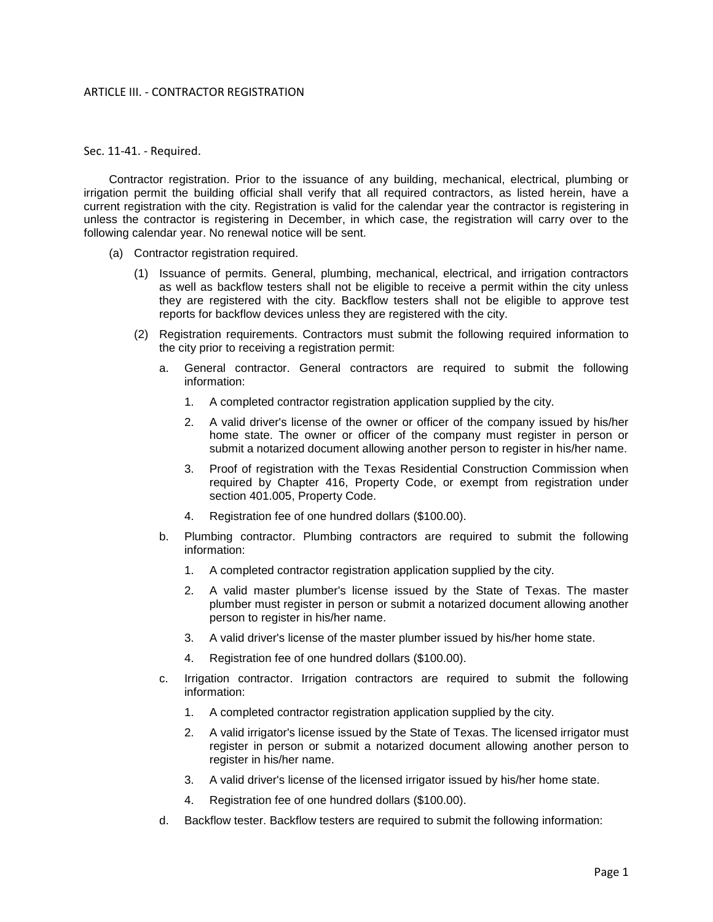## ARTICLE III. - CONTRACTOR REGISTRATION

## Sec. 11-41. - Required.

Contractor registration. Prior to the issuance of any building, mechanical, electrical, plumbing or irrigation permit the building official shall verify that all required contractors, as listed herein, have a current registration with the city. Registration is valid for the calendar year the contractor is registering in unless the contractor is registering in December, in which case, the registration will carry over to the following calendar year. No renewal notice will be sent.

- (a) Contractor registration required.
	- (1) Issuance of permits. General, plumbing, mechanical, electrical, and irrigation contractors as well as backflow testers shall not be eligible to receive a permit within the city unless they are registered with the city. Backflow testers shall not be eligible to approve test reports for backflow devices unless they are registered with the city.
	- (2) Registration requirements. Contractors must submit the following required information to the city prior to receiving a registration permit:
		- a. General contractor. General contractors are required to submit the following information:
			- 1. A completed contractor registration application supplied by the city.
			- 2. A valid driver's license of the owner or officer of the company issued by his/her home state. The owner or officer of the company must register in person or submit a notarized document allowing another person to register in his/her name.
			- 3. Proof of registration with the Texas Residential Construction Commission when required by Chapter 416, Property Code, or exempt from registration under section 401.005, Property Code.
			- Registration fee of one hundred dollars (\$100.00).
		- b. Plumbing contractor. Plumbing contractors are required to submit the following information:
			- 1. A completed contractor registration application supplied by the city.
			- 2. A valid master plumber's license issued by the State of Texas. The master plumber must register in person or submit a notarized document allowing another person to register in his/her name.
			- 3. A valid driver's license of the master plumber issued by his/her home state.
			- 4. Registration fee of one hundred dollars (\$100.00).
		- c. Irrigation contractor. Irrigation contractors are required to submit the following information:
			- 1. A completed contractor registration application supplied by the city.
			- 2. A valid irrigator's license issued by the State of Texas. The licensed irrigator must register in person or submit a notarized document allowing another person to register in his/her name.
			- 3. A valid driver's license of the licensed irrigator issued by his/her home state.
			- 4. Registration fee of one hundred dollars (\$100.00).
		- d. Backflow tester. Backflow testers are required to submit the following information: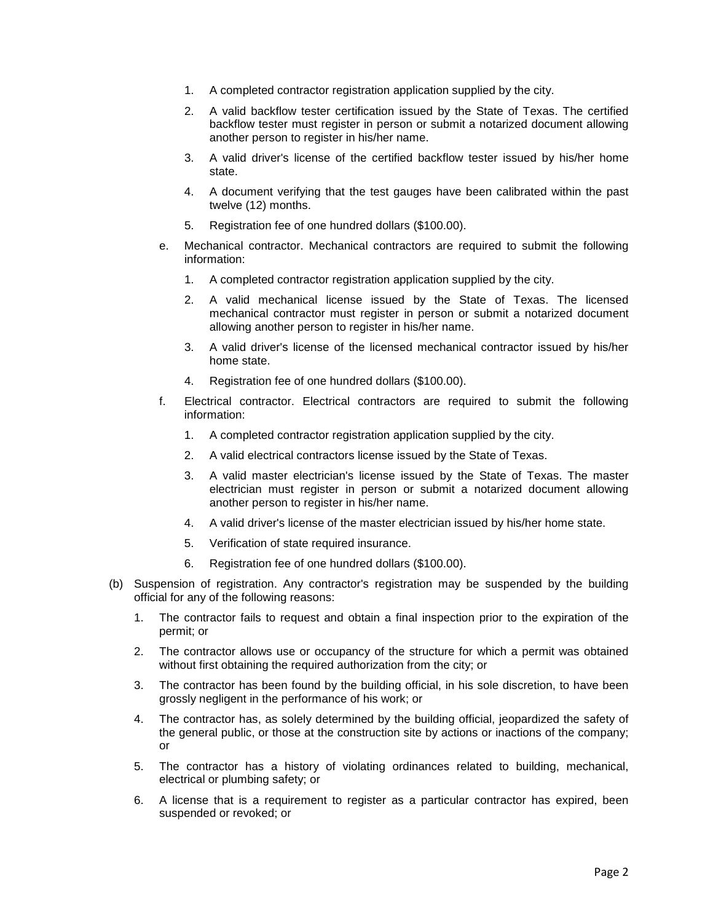- 1. A completed contractor registration application supplied by the city.
- 2. A valid backflow tester certification issued by the State of Texas. The certified backflow tester must register in person or submit a notarized document allowing another person to register in his/her name.
- 3. A valid driver's license of the certified backflow tester issued by his/her home state.
- 4. A document verifying that the test gauges have been calibrated within the past twelve (12) months.
- 5. Registration fee of one hundred dollars (\$100.00).
- e. Mechanical contractor. Mechanical contractors are required to submit the following information:
	- 1. A completed contractor registration application supplied by the city.
	- 2. A valid mechanical license issued by the State of Texas. The licensed mechanical contractor must register in person or submit a notarized document allowing another person to register in his/her name.
	- 3. A valid driver's license of the licensed mechanical contractor issued by his/her home state.
	- 4. Registration fee of one hundred dollars (\$100.00).
- f. Electrical contractor. Electrical contractors are required to submit the following information:
	- 1. A completed contractor registration application supplied by the city.
	- 2. A valid electrical contractors license issued by the State of Texas.
	- 3. A valid master electrician's license issued by the State of Texas. The master electrician must register in person or submit a notarized document allowing another person to register in his/her name.
	- 4. A valid driver's license of the master electrician issued by his/her home state.
	- 5. Verification of state required insurance.
	- 6. Registration fee of one hundred dollars (\$100.00).
- (b) Suspension of registration. Any contractor's registration may be suspended by the building official for any of the following reasons:
	- 1. The contractor fails to request and obtain a final inspection prior to the expiration of the permit; or
	- 2. The contractor allows use or occupancy of the structure for which a permit was obtained without first obtaining the required authorization from the city; or
	- 3. The contractor has been found by the building official, in his sole discretion, to have been grossly negligent in the performance of his work; or
	- 4. The contractor has, as solely determined by the building official, jeopardized the safety of the general public, or those at the construction site by actions or inactions of the company; or
	- 5. The contractor has a history of violating ordinances related to building, mechanical, electrical or plumbing safety; or
	- 6. A license that is a requirement to register as a particular contractor has expired, been suspended or revoked; or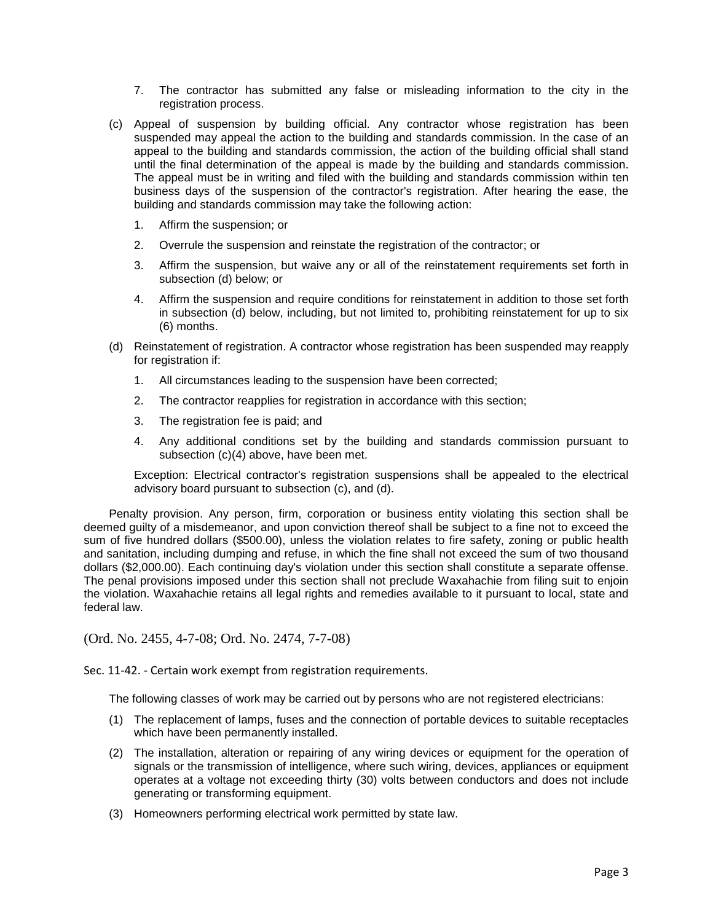- 7. The contractor has submitted any false or misleading information to the city in the registration process.
- (c) Appeal of suspension by building official. Any contractor whose registration has been suspended may appeal the action to the building and standards commission. In the case of an appeal to the building and standards commission, the action of the building official shall stand until the final determination of the appeal is made by the building and standards commission. The appeal must be in writing and filed with the building and standards commission within ten business days of the suspension of the contractor's registration. After hearing the ease, the building and standards commission may take the following action:
	- 1. Affirm the suspension; or
	- 2. Overrule the suspension and reinstate the registration of the contractor; or
	- 3. Affirm the suspension, but waive any or all of the reinstatement requirements set forth in subsection (d) below; or
	- 4. Affirm the suspension and require conditions for reinstatement in addition to those set forth in subsection (d) below, including, but not limited to, prohibiting reinstatement for up to six (6) months.
- (d) Reinstatement of registration. A contractor whose registration has been suspended may reapply for registration if:
	- 1. All circumstances leading to the suspension have been corrected;
	- 2. The contractor reapplies for registration in accordance with this section;
	- 3. The registration fee is paid; and
	- 4. Any additional conditions set by the building and standards commission pursuant to subsection (c)(4) above, have been met.

Exception: Electrical contractor's registration suspensions shall be appealed to the electrical advisory board pursuant to subsection (c), and (d).

Penalty provision. Any person, firm, corporation or business entity violating this section shall be deemed guilty of a misdemeanor, and upon conviction thereof shall be subject to a fine not to exceed the sum of five hundred dollars (\$500.00), unless the violation relates to fire safety, zoning or public health and sanitation, including dumping and refuse, in which the fine shall not exceed the sum of two thousand dollars (\$2,000.00). Each continuing day's violation under this section shall constitute a separate offense. The penal provisions imposed under this section shall not preclude Waxahachie from filing suit to enjoin the violation. Waxahachie retains all legal rights and remedies available to it pursuant to local, state and federal law.

(Ord. No. 2455, 4-7-08; Ord. No. 2474, 7-7-08)

Sec. 11-42. - Certain work exempt from registration requirements.

The following classes of work may be carried out by persons who are not registered electricians:

- (1) The replacement of lamps, fuses and the connection of portable devices to suitable receptacles which have been permanently installed.
- (2) The installation, alteration or repairing of any wiring devices or equipment for the operation of signals or the transmission of intelligence, where such wiring, devices, appliances or equipment operates at a voltage not exceeding thirty (30) volts between conductors and does not include generating or transforming equipment.
- (3) Homeowners performing electrical work permitted by state law.